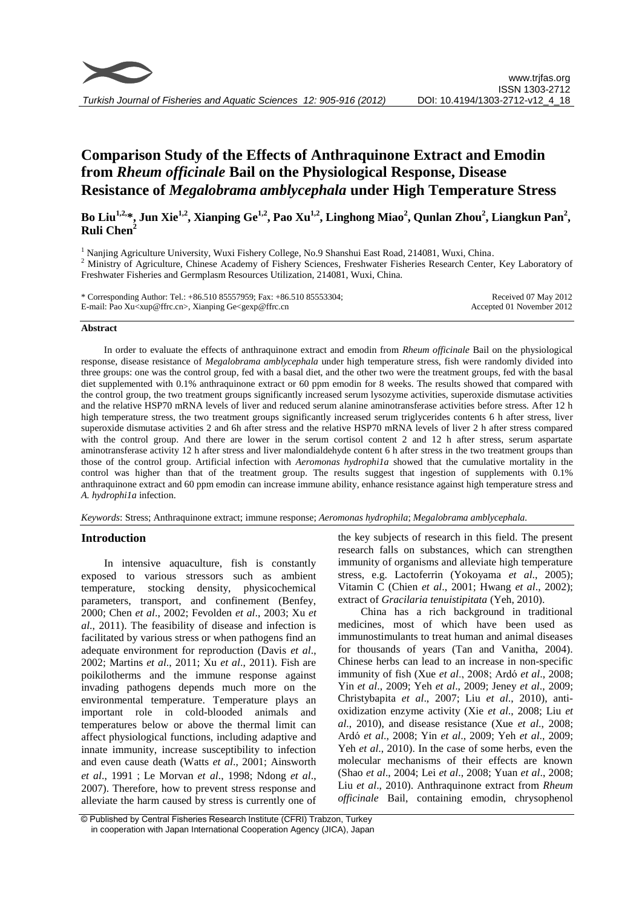

# **Comparison Study of the Effects of Anthraquinone Extract and Emodin from** *Rheum officinale* **Bail on the Physiological Response, Disease Resistance of** *Megalobrama amblycephala* **under High Temperature Stress**

**Bo Liu1,2, \*, Jun Xie1,2, Xianping Ge1,2, Pao Xu1,2, Linghong Miao<sup>2</sup> , Qunlan Zhou<sup>2</sup> , Liangkun Pan<sup>2</sup> , Ruli Chen<sup>2</sup>**

<sup>1</sup> Nanjing Agriculture University, Wuxi Fishery College, No.9 Shanshui East Road, 214081, Wuxi, China. <sup>2</sup> Ministry of Agriculture, Chinese Academy of Fishery Sciences, Freshwater Fisheries Research Center, Key Laboratory of Freshwater Fisheries and Germplasm Resources Utilization, 214081, Wuxi, China.

| * Corresponding Author: Tel.: $+86.5108557959$ ; Fax: $+86.51085553304$ ;                                                      | Received 07 May 2012      |
|--------------------------------------------------------------------------------------------------------------------------------|---------------------------|
| E-mail: Pao Xu <xup@ffrc.cn>, Xianping Ge<gexp@ffrc.cn< td=""><td>Accepted 01 November 2012</td></gexp@ffrc.cn<></xup@ffrc.cn> | Accepted 01 November 2012 |

### **Abstract**

In order to evaluate the effects of anthraquinone extract and emodin from *Rheum officinale* Bail on the physiological response, disease resistance of *Megalobrama amblycephala* under high temperature stress, fish were randomly divided into three groups: one was the control group, fed with a basal diet, and the other two were the treatment groups, fed with the basal diet supplemented with 0.1% anthraquinone extract or 60 ppm emodin for 8 weeks. The results showed that compared with the control group, the two treatment groups significantly increased serum lysozyme activities, superoxide dismutase activities and the relative HSP70 mRNA levels of liver and reduced serum alanine aminotransferase activities before stress. After 12 h high temperature stress, the two treatment groups significantly increased serum triglycerides contents 6 h after stress, liver superoxide dismutase activities 2 and 6h after stress and the relative HSP70 mRNA levels of liver 2 h after stress compared with the control group. And there are lower in the serum cortisol content 2 and 12 h after stress, serum aspartate aminotransferase activity 12 h after stress and liver malondialdehyde content 6 h after stress in the two treatment groups than those of the control group. Artificial infection with *Aeromonas hydrophi1a* showed that the cumulative mortality in the control was higher than that of the treatment group. The results suggest that ingestion of supplements with 0.1% anthraquinone extract and 60 ppm emodin can increase immune ability, enhance resistance against high temperature stress and *A. hydrophi1a* infection.

*Keywords*: Stress; Anthraquinone extract; immune response; *Aeromonas hydrophila*; *Megalobrama amblycephala.*

# **Introduction**

In intensive aquaculture, fish is constantly exposed to various stressors such as ambient temperature, stocking density, physicochemical parameters, transport, and confinement (Benfey, 2000; Chen *et al*., 2002; Fevolden *et al*., 2003; Xu *et al*., 2011). The feasibility of disease and infection is facilitated by various stress or when pathogens find an adequate environment for reproduction (Davis *et al*., 2002; Martins *et al*., 2011; Xu *et al*., 2011). Fish are poikilotherms and the immune response against invading pathogens depends much more on the environmental temperature. Temperature plays an important role in cold-blooded animals and temperatures below or above the thermal limit can affect physiological functions, including adaptive and innate immunity, increase susceptibility to infection and even cause death (Watts *et al*., 2001; Ainsworth *et al*., 1991;Le Morvan *et al*., 1998; Ndong *et al*., 2007). Therefore, how to prevent stress response and alleviate the harm caused by stress is currently one of the key subjects of research in this field. The present research falls on substances, which can strengthen immunity of organisms and alleviate high temperature stress, e.g. Lactoferrin (Yokoyama *et al*., 2005); Vitamin C (Chien *et al*., 2001; Hwang *et al*., 2002); extract of *Gracilaria tenuistipitata* (Yeh, 2010).

China has a rich background in traditional medicines, most of which have been used as immunostimulants to treat human and animal diseases for thousands of years (Tan and Vanitha, 2004). Chinese herbs can lead to an increase in non-specific immunity of fish (Xue *et al*., 2008; Ardó *et al*., 2008; Yin *et al*., 2009; Yeh *et al*., 2009; Jeney *et al*., 2009; Christybapita *et al*., 2007; Liu *et al*., 2010), antioxidization enzyme activity (Xie *et al*., 2008; Liu *et al*., 2010), and disease resistance (Xue *et al*., 2008; Ardó *et al*., 2008; Yin *et al*., 2009; Yeh *et al*., 2009; Yeh *et al*., 2010). In the case of some herbs, even the molecular mechanisms of their effects are known (Shao *et al*., 2004; Lei *et al*., 2008; Yuan *et al*., 2008; Liu *et al*., 2010). Anthraquinone extract from *Rheum officinale* Bail, containing emodin, chrysophenol

<sup>©</sup> Published by Central Fisheries Research Institute (CFRI) Trabzon, Turkey in cooperation with Japan International Cooperation Agency (JICA), Japan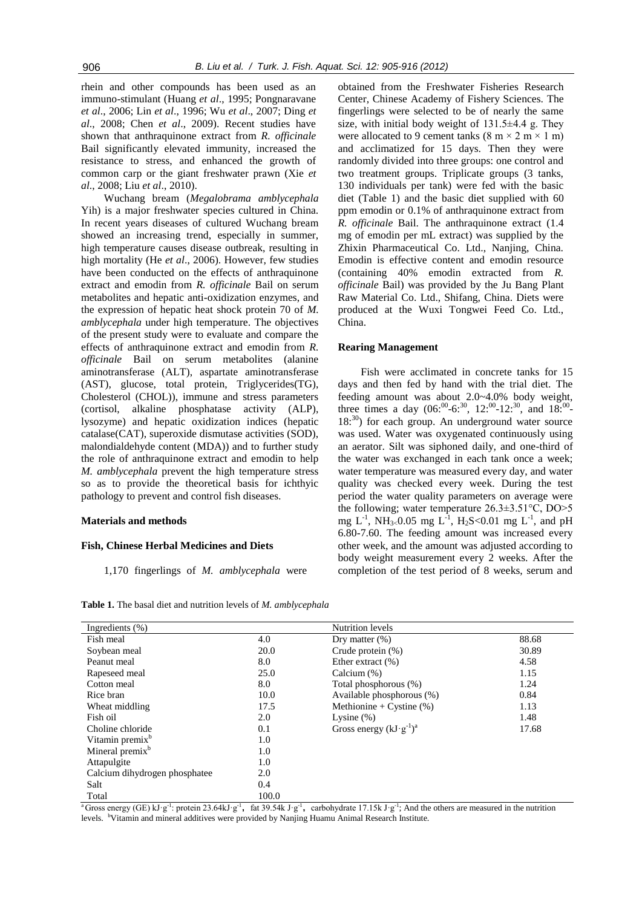rhein and other compounds has been used as an immuno-stimulant (Huang *et al*., 1995; Pongnaravane *et al*., 2006; Lin *et al*., 1996; Wu *et al*., 2007; Ding *et al*., 2008; Chen *et al*., 2009). Recent studies have shown that anthraquinone extract from *R. officinale* Bail significantly elevated immunity, increased the resistance to stress, and enhanced the growth of common carp or the giant freshwater prawn (Xie *et al*., 2008; Liu *et al*., 2010).

Wuchang bream (*Megalobrama amblycephala* Yih) is a major freshwater species cultured in China. In recent years diseases of cultured Wuchang bream showed an increasing trend, especially in summer, high temperature causes disease outbreak, resulting in high mortality (He *et al*., 2006). However, few studies have been conducted on the effects of anthraquinone extract and emodin from *R. officinale* Bail on serum metabolites and hepatic anti-oxidization enzymes, and the expression of hepatic heat shock protein 70 of *M. amblycephala* under high temperature. The objectives of the present study were to evaluate and compare the effects of anthraquinone extract and emodin from *R. officinale* Bail on serum metabolites (alanine aminotransferase (ALT), aspartate aminotransferase (AST), glucose, total protein, Triglycerides(TG), Cholesterol (CHOL)), immune and stress parameters (cortisol, alkaline phosphatase activity (ALP), lysozyme) and hepatic oxidization indices (hepatic catalase(CAT), superoxide dismutase activities (SOD), malondialdehyde content (MDA)) and to further study the role of anthraquinone extract and emodin to help *M. amblycephala* prevent the high temperature stress so as to provide the theoretical basis for ichthyic pathology to prevent and control fish diseases.

### **Materials and methods**

### **Fish, Chinese Herbal Medicines and Diets**

1,170 fingerlings of *M. amblycephala* were

obtained from the Freshwater Fisheries Research Center, Chinese Academy of Fishery Sciences. The fingerlings were selected to be of nearly the same size, with initial body weight of  $131.5\pm4.4$  g. They were allocated to 9 cement tanks  $(8 \text{ m} \times 2 \text{ m} \times 1 \text{ m})$ and acclimatized for 15 days. Then they were randomly divided into three groups: one control and two treatment groups. Triplicate groups (3 tanks, 130 individuals per tank) were fed with the basic diet (Table 1) and the basic diet supplied with 60 ppm emodin or 0.1% of anthraquinone extract from *R. officinale* Bail. The anthraquinone extract (1.4 mg of emodin per mL extract) was supplied by the Zhixin Pharmaceutical Co. Ltd., Nanjing, China. Emodin is effective content and emodin resource (containing 40% emodin extracted from *R. officinale* Bail) was provided by the Ju Bang Plant Raw Material Co. Ltd., Shifang, China. Diets were produced at the Wuxi Tongwei Feed Co. Ltd., China.

### **Rearing Management**

Fish were acclimated in concrete tanks for 15 days and then fed by hand with the trial diet. The feeding amount was about 2.0~4.0% body weight, three times a day  $(06^{00} - 6^{030}, 12^{00} - 12^{030}, \text{ and } 18^{00} 18$ <sup>:30</sup>) for each group. An underground water source was used. Water was oxygenated continuously using an aerator. Silt was siphoned daily, and one-third of the water was exchanged in each tank once a week; water temperature was measured every day, and water quality was checked every week. During the test period the water quality parameters on average were the following; water temperature 26.3±3.51°C, DO>5 mg  $L^{-1}$ , NH<sub>3<</sub>0.05 mg  $L^{-1}$ , H<sub>2</sub>S<0.01 mg  $L^{-1}$ , and pH 6.80-7.60. The feeding amount was increased every other week, and the amount was adjusted according to body weight measurement every 2 weeks. After the completion of the test period of 8 weeks, serum and

| Ingredients $(\% )$           |       | Nutrition levels                   |       |
|-------------------------------|-------|------------------------------------|-------|
| Fish meal                     | 4.0   | Dry matter $(\%)$                  | 88.68 |
| Soybean meal                  | 20.0  | Crude protein $(\%)$               | 30.89 |
| Peanut meal                   | 8.0   | Ether extract $(\%)$               | 4.58  |
| Rapeseed meal                 | 25.0  | Calcium $(\%)$                     | 1.15  |
| Cotton meal                   | 8.0   | Total phosphorous (%)              | 1.24  |
| Rice bran                     | 10.0  | Available phosphorous (%)          | 0.84  |
| Wheat middling                | 17.5  | Methionine + Cystine $(\%)$        | 1.13  |
| Fish oil                      | 2.0   | Lysine $(\%)$                      | 1.48  |
| Choline chloride              | 0.1   | Gross energy $(kJ \cdot g^{-1})^a$ | 17.68 |
| Vitamin premix <sup>b</sup>   | 1.0   |                                    |       |
| Mineral premix <sup>b</sup>   | 1.0   |                                    |       |
| Attapulgite                   | 1.0   |                                    |       |
| Calcium dihydrogen phosphatee | 2.0   |                                    |       |
| Salt                          | 0.4   |                                    |       |
| Total                         | 100.0 |                                    |       |

**Table 1.** The basal diet and nutrition levels of *M. amblycephala*

<sup>a</sup> Gross energy (GE) kJ·g<sup>-1</sup>: protein 23.64kJ·g<sup>-1</sup>, fat 39.54k J·g<sup>-1</sup>, carbohydrate 17.15k J·g<sup>-1</sup>; And the others are measured in the nutrition levels. <sup>b</sup>Vitamin and mineral additives were provided by Nanjing Huamu Animal Research Institute.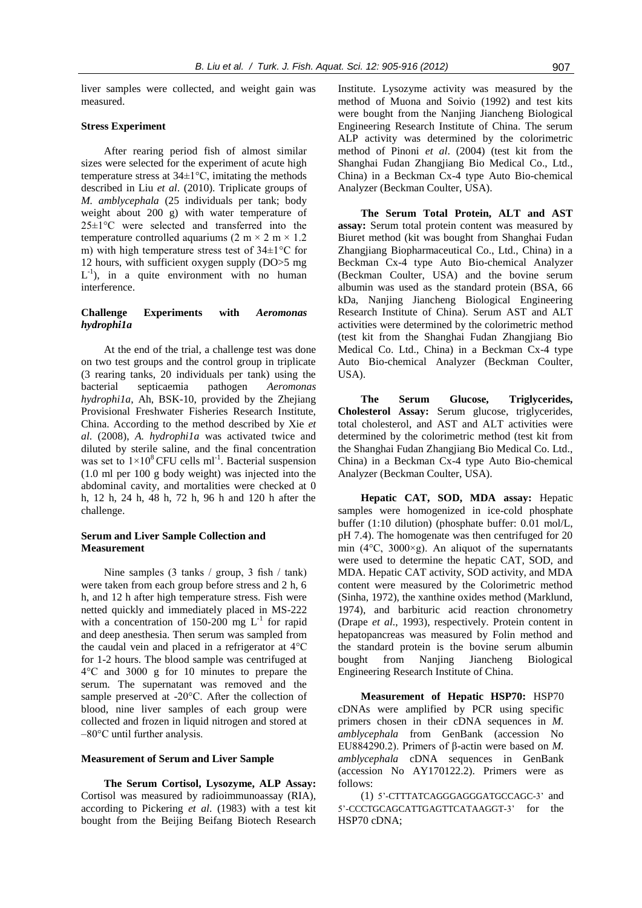liver samples were collected, and weight gain was measured.

### **Stress Experiment**

After rearing period fish of almost similar sizes were selected for the experiment of acute high temperature stress at 34±1°C, imitating the methods described in Liu *et al*. (2010). Triplicate groups of *M. amblycephala* (25 individuals per tank; body weight about 200 g) with water temperature of 25±1°C were selected and transferred into the temperature controlled aquariums (2 m  $\times$  2 m  $\times$  1.2 m) with high temperature stress test of 34±1°C for 12 hours, with sufficient oxygen supply (DO>5 mg  $L^{-1}$ ), in a quite environment with no human interference.

# **Challenge Experiments with** *Aeromonas hydrophi1a*

At the end of the trial, a challenge test was done on two test groups and the control group in triplicate (3 rearing tanks, 20 individuals per tank) using the bacterial septicaemia pathogen *Aeromonas hydrophi1a*, Ah, BSK-10, provided by the Zhejiang Provisional Freshwater Fisheries Research Institute, China. According to the method described by Xie *et al*. (2008), *A. hydrophi1a* was activated twice and diluted by sterile saline, and the final concentration was set to  $1 \times 10^8$  CFU cells ml<sup>-1</sup>. Bacterial suspension (1.0 ml per 100 g body weight) was injected into the abdominal cavity, and mortalities were checked at 0 h, 12 h, 24 h, 48 h, 72 h, 96 h and 120 h after the challenge.

### **Serum and Liver Sample Collection and Measurement**

Nine samples (3 tanks / group, 3 fish / tank) were taken from each group before stress and 2 h, 6 h, and 12 h after high temperature stress. Fish were netted quickly and immediately placed in MS-222 with a concentration of 150-200 mg  $L^{-1}$  for rapid and deep anesthesia. Then serum was sampled from the caudal vein and placed in a refrigerator at 4°C for 1-2 hours. The blood sample was centrifuged at 4°C and 3000 g for 10 minutes to prepare the serum. The supernatant was removed and the sample preserved at -20°C. After the collection of blood, nine liver samples of each group were collected and frozen in liquid nitrogen and stored at –80°C until further analysis.

### **Measurement of Serum and Liver Sample**

**The Serum Cortisol, Lysozyme, ALP Assay:**  Cortisol was measured by radioimmunoassay (RIA), according to Pickering *et al*. (1983) with a test kit bought from the Beijing Beifang Biotech Research Institute. Lysozyme activity was measured by the method of Muona and Soivio (1992) and test kits were bought from the Nanjing Jiancheng Biological Engineering Research Institute of China. The serum ALP activity was determined by the colorimetric method of Pinoni *et al*. (2004) (test kit from the Shanghai Fudan Zhangjiang Bio Medical Co., Ltd., China) in a Beckman Cx-4 type Auto Bio-chemical Analyzer (Beckman Coulter, USA).

**The Serum Total Protein, ALT and AST assay:** Serum total protein content was measured by Biuret method (kit was bought from Shanghai Fudan Zhangjiang Biopharmaceutical Co., Ltd., China) in a Beckman Cx-4 type Auto Bio-chemical Analyzer (Beckman Coulter, USA) and the bovine serum albumin was used as the standard protein (BSA, 66 kDa, Nanjing Jiancheng Biological Engineering Research Institute of China). Serum AST and ALT activities were determined by the colorimetric method (test kit from the Shanghai Fudan Zhangjiang Bio Medical Co. Ltd., China) in a Beckman Cx-4 type Auto Bio-chemical Analyzer (Beckman Coulter,  $IISA$ 

**The Serum Glucose, Triglycerides, Cholesterol Assay:** Serum glucose, triglycerides, total cholesterol, and AST and ALT activities were determined by the colorimetric method (test kit from the Shanghai Fudan Zhangjiang Bio Medical Co. Ltd., China) in a Beckman Cx-4 type Auto Bio-chemical Analyzer (Beckman Coulter, USA).

**Hepatic CAT, SOD, MDA assay:** Hepatic samples were homogenized in ice-cold phosphate buffer (1:10 dilution) (phosphate buffer: 0.01 mol/L, pH 7.4). The homogenate was then centrifuged for 20 min ( $4^{\circ}$ C,  $3000 \times g$ ). An aliquot of the supernatants were used to determine the hepatic CAT, SOD, and MDA. Hepatic CAT activity, SOD activity, and MDA content were measured by the Colorimetric method (Sinha, 1972), the xanthine oxides method (Marklund, 1974), and barbituric acid reaction chronometry (Drape *et al*., 1993), respectively. Protein content in hepatopancreas was measured by Folin method and the standard protein is the bovine serum albumin bought from Nanjing Jiancheng Biological Engineering Research Institute of China.

**Measurement of Hepatic HSP70:** HSP70 cDNAs were amplified by PCR using specific primers chosen in their cDNA sequences in *M. amblycephala* from GenBank (accession No EU884290.2). Primers of β-actin were based on *M. amblycephala* cDNA sequences in GenBank (accession No AY170122.2). Primers were as follows:

(1) 5'-CTTTATCAGGGAGGGATGCCAGC-3' and 5'-CCCTGCAGCATTGAGTTCATAAGGT-3' for the HSP70 cDNA;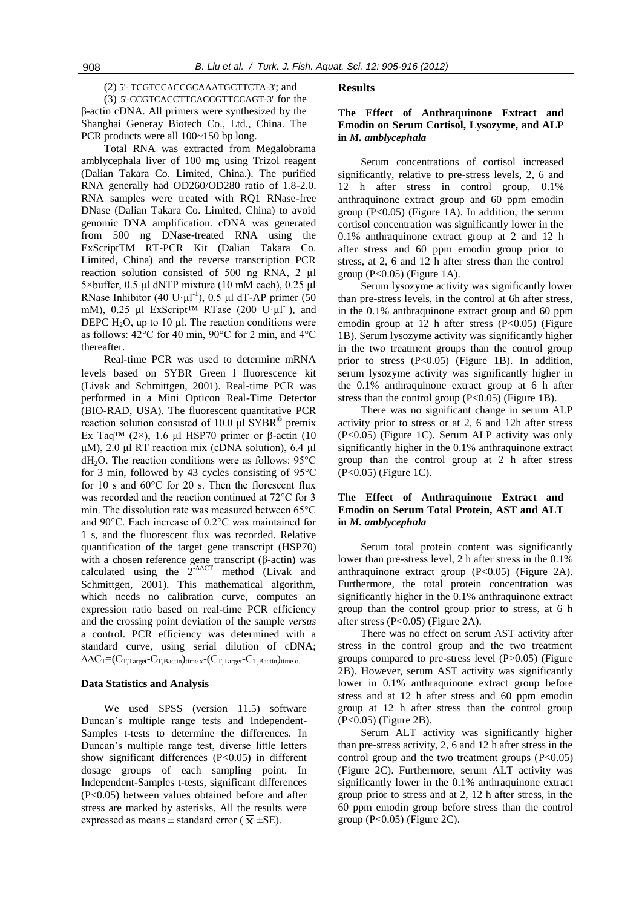(2) 5'- TCGTCCACCGCAAATGCTTCTA-3'; and (3) 5'-CCGTCACCTTCACCGTTCCAGT-3' for the β-actin cDNA. All primers were synthesized by the Shanghai Generay Biotech Co., Ltd., China. The PCR products were all 100~150 bp long.

Total RNA was extracted from Megalobrama amblycephala liver of 100 mg using Trizol reagent (Dalian Takara Co. Limited, China.). The purified RNA generally had OD260/OD280 ratio of 1.8-2.0. RNA samples were treated with RQ1 RNase-free DNase (Dalian Takara Co. Limited, China) to avoid genomic DNA amplification. cDNA was generated from 500 ng DNase-treated RNA using the ExScriptTM RT-PCR Kit (Dalian Takara Co. Limited, China) and the reverse transcription PCR reaction solution consisted of 500 ng RNA, 2 µl 5×buffer, 0.5 μl dNTP mixture (10 mM each), 0.25 μl RNase Inhibitor (40 U· $\mu$ l<sup>-1</sup>), 0.5  $\mu$ l dT-AP primer (50 mM), 0.25 µl ExScript<sup>TM</sup> RTase (200 U·µl<sup>-1</sup>), and DEPC  $H_2O$ , up to 10 µl. The reaction conditions were as follows: 42°C for 40 min, 90°C for 2 min, and 4°C thereafter.

Real-time PCR was used to determine mRNA levels based on SYBR Green Ⅰ fluorescence kit (Livak and Schmittgen, 2001). Real-time PCR was performed in a Mini Opticon Real-Time Detector (BIO-RAD, USA). The fluorescent quantitative PCR reaction solution consisted of 10.0 μl  $\text{SYBR}^®$  premix Ex Taq<sup>TM</sup> (2×), 1.6 μl HSP70 primer or β-actin (10 μM), 2.0 μl RT reaction mix (cDNA solution), 6.4 μl  $dH<sub>2</sub>O$ . The reaction conditions were as follows: 95 $^{\circ}$ C for 3 min, followed by 43 cycles consisting of 95°C for 10 s and 60°C for 20 s. Then the florescent flux was recorded and the reaction continued at 72°C for 3 min. The dissolution rate was measured between 65°C and 90°C. Each increase of 0.2°C was maintained for 1 s, and the fluorescent flux was recorded. Relative quantification of the target gene transcript (HSP70) with a chosen reference gene transcript (β-actin) was calculated using the 2**-**∆∆CT method (Livak and Schmittgen, 2001). This mathematical algorithm, which needs no calibration curve, computes an expression ratio based on real-time PCR efficiency and the crossing point deviation of the sample *versus*  a control. PCR efficiency was determined with a standard curve, using serial dilution of cDNA;  $\Delta \Delta C_T = (C_{T,Target} - C_{T,Batch})_{time \ x} - (C_{T,Target} - C_{T,Batch})_{time \ o.}$ 

#### **Data Statistics and Analysis**

We used SPSS (version 11.5) software Duncan's multiple range tests and Independent-Samples t-tests to determine the differences. In Duncan's multiple range test, diverse little letters show significant differences  $(P<0.05)$  in different dosage groups of each sampling point. In Independent-Samples t-tests, significant differences (P<0.05) between values obtained before and after stress are marked by asterisks. All the results were expressed as means  $\pm$  standard error ( $\bar{x}$  ±SE).

### **Results**

# **The Effect of Anthraquinone Extract and Emodin on Serum Cortisol, Lysozyme, and ALP in** *M. amblycephala*

Serum concentrations of cortisol increased significantly, relative to pre-stress levels, 2, 6 and 12 h after stress in control group, 0.1% anthraquinone extract group and 60 ppm emodin group  $(P<0.05)$  (Figure 1A). In addition, the serum cortisol concentration was significantly lower in the 0.1% anthraquinone extract group at 2 and 12 h after stress and 60 ppm emodin group prior to stress, at 2, 6 and 12 h after stress than the control group  $(P<0.05)$  (Figure 1A).

Serum lysozyme activity was significantly lower than pre-stress levels, in the control at 6h after stress, in the 0.1% anthraquinone extract group and 60 ppm emodin group at 12 h after stress (P<0.05) (Figure 1B). Serum lysozyme activity was significantly higher in the two treatment groups than the control group prior to stress  $(P<0.05)$  (Figure 1B). In addition, serum lysozyme activity was significantly higher in the 0.1% anthraquinone extract group at 6 h after stress than the control group  $(P<0.05)$  (Figure 1B).

There was no significant change in serum ALP activity prior to stress or at 2, 6 and 12h after stress (P<0.05) (Figure 1C). Serum ALP activity was only significantly higher in the 0.1% anthraquinone extract group than the control group at 2 h after stress (P<0.05) (Figure 1C).

# **The Effect of Anthraquinone Extract and Emodin on Serum Total Protein, AST and ALT in** *M. amblycephala*

Serum total protein content was significantly lower than pre-stress level, 2 h after stress in the 0.1% anthraquinone extract group (P<0.05) (Figure 2A). Furthermore, the total protein concentration was significantly higher in the 0.1% anthraquinone extract group than the control group prior to stress, at 6 h after stress (P<0.05) (Figure 2A).

There was no effect on serum AST activity after stress in the control group and the two treatment groups compared to pre-stress level (P>0.05) (Figure 2B). However, serum AST activity was significantly lower in 0.1% anthraquinone extract group before stress and at 12 h after stress and 60 ppm emodin group at 12 h after stress than the control group (P<0.05) (Figure 2B).

Serum ALT activity was significantly higher than pre-stress activity, 2, 6 and 12 h after stress in the control group and the two treatment groups  $(P<0.05)$ (Figure 2C). Furthermore, serum ALT activity was significantly lower in the 0.1% anthraquinone extract group prior to stress and at 2, 12 h after stress, in the 60 ppm emodin group before stress than the control group  $(P<0.05)$  (Figure 2C).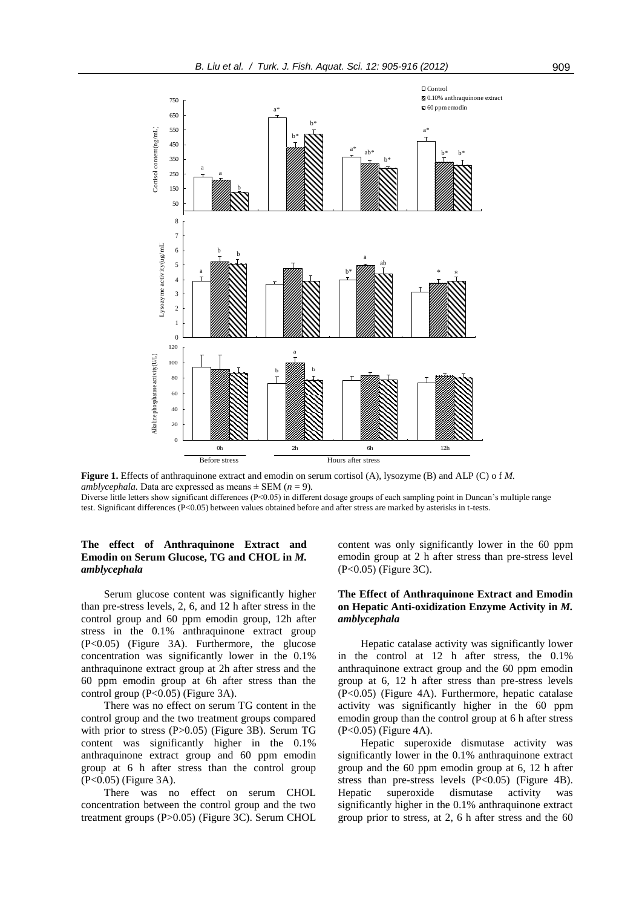

**Figure 1.** Effects of anthraquinone extract and emodin on serum cortisol (A), lysozyme (B) and ALP (C) o f *M. amblycephala.* Data are expressed as means  $\pm$  SEM (*n* = 9).

Diverse little letters show significant differences (P<0.05) in different dosage groups of each sampling point in Duncan's multiple range test. Significant differences (P<0.05) between values obtained before and after stress are marked by asterisks in t-tests.

# **The effect of Anthraquinone Extract and Emodin on Serum Glucose, TG and CHOL in** *M. amblycephala*

Serum glucose content was significantly higher than pre-stress levels, 2, 6, and 12 h after stress in the control group and 60 ppm emodin group, 12h after stress in the 0.1% anthraquinone extract group (P<0.05) (Figure 3A). Furthermore, the glucose concentration was significantly lower in the 0.1% anthraquinone extract group at 2h after stress and the 60 ppm emodin group at 6h after stress than the control group  $(P<0.05)$  (Figure 3A).

There was no effect on serum TG content in the control group and the two treatment groups compared with prior to stress (P>0.05) (Figure 3B). Serum TG content was significantly higher in the 0.1% anthraquinone extract group and 60 ppm emodin group at 6 h after stress than the control group (P<0.05) (Figure 3A).

There was no effect on serum CHOL concentration between the control group and the two treatment groups (P>0.05) (Figure 3C). Serum CHOL content was only significantly lower in the 60 ppm emodin group at 2 h after stress than pre-stress level (P<0.05) (Figure 3C).

# **The Effect of Anthraquinone Extract and Emodin on Hepatic Anti-oxidization Enzyme Activity in** *M. amblycephala*

Hepatic catalase activity was significantly lower in the control at 12 h after stress, the 0.1% anthraquinone extract group and the 60 ppm emodin group at 6, 12 h after stress than pre-stress levels (P<0.05) (Figure 4A). Furthermore, hepatic catalase activity was significantly higher in the 60 ppm emodin group than the control group at 6 h after stress (P<0.05) (Figure 4A).

Hepatic superoxide dismutase activity was significantly lower in the 0.1% anthraquinone extract group and the 60 ppm emodin group at 6, 12 h after stress than pre-stress levels  $(P<0.05)$  (Figure 4B). Hepatic superoxide dismutase activity was significantly higher in the 0.1% anthraquinone extract group prior to stress, at 2, 6 h after stress and the 60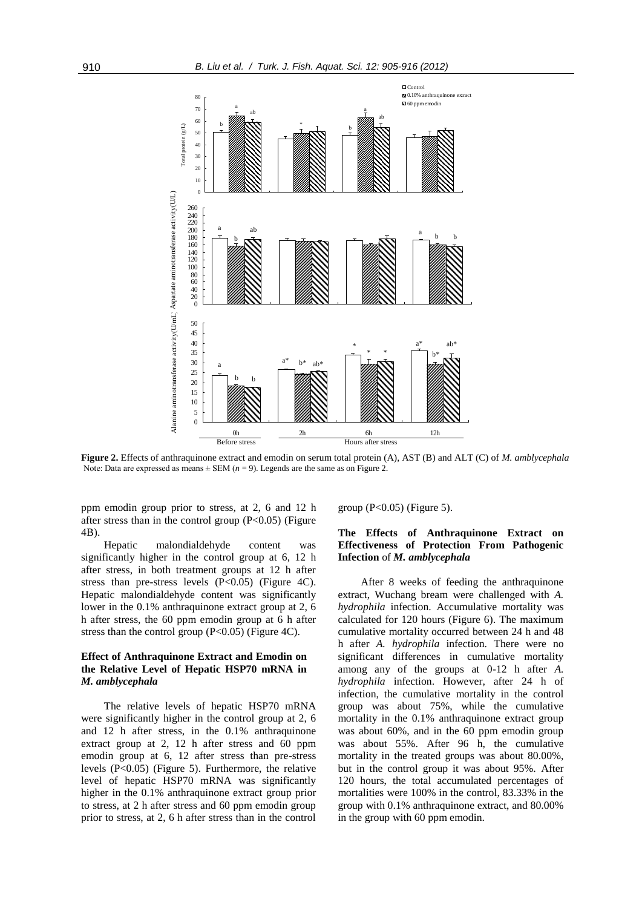

**Figure 2.** Effects of anthraquinone extract and emodin on serum total protein (A), AST (B) and ALT (C) of *M. amblycephala*  Note: Data are expressed as means  $\pm$  SEM ( $n = 9$ ). Legends are the same as on Figure 2.

ppm emodin group prior to stress, at 2, 6 and 12 h after stress than in the control group  $(P<0.05)$  (Figure 4B).

Hepatic malondialdehyde content was significantly higher in the control group at 6, 12 h after stress, in both treatment groups at 12 h after stress than pre-stress levels (P<0.05) (Figure 4C). Hepatic malondialdehyde content was significantly lower in the 0.1% anthraquinone extract group at 2, 6 h after stress, the 60 ppm emodin group at 6 h after stress than the control group  $(P<0.05)$  (Figure 4C).

### **Effect of Anthraquinone Extract and Emodin on the Relative Level of Hepatic HSP70 mRNA in**  *M. amblycephala*

The relative levels of hepatic HSP70 mRNA were significantly higher in the control group at 2, 6 and 12 h after stress, in the 0.1% anthraquinone extract group at 2, 12 h after stress and 60 ppm emodin group at 6, 12 after stress than pre-stress levels (P<0.05) (Figure 5). Furthermore, the relative level of hepatic HSP70 mRNA was significantly higher in the 0.1% anthraquinone extract group prior to stress, at 2 h after stress and 60 ppm emodin group prior to stress, at 2, 6 h after stress than in the control group  $(P<0.05)$  (Figure 5).

# **The Effects of Anthraquinone Extract on Effectiveness of Protection From Pathogenic Infection** of *M. amblycephala*

After 8 weeks of feeding the anthraquinone extract, Wuchang bream were challenged with *A. hydrophila* infection. Accumulative mortality was calculated for 120 hours (Figure 6). The maximum cumulative mortality occurred between 24 h and 48 h after *A. hydrophila* infection. There were no significant differences in cumulative mortality among any of the groups at 0-12 h after *A. hydrophila* infection. However, after 24 h of infection, the cumulative mortality in the control group was about 75%, while the cumulative mortality in the 0.1% anthraquinone extract group was about 60%, and in the 60 ppm emodin group was about 55%. After 96 h, the cumulative mortality in the treated groups was about 80.00%, but in the control group it was about 95%. After 120 hours, the total accumulated percentages of mortalities were 100% in the control, 83.33% in the group with 0.1% anthraquinone extract, and 80.00% in the group with 60 ppm emodin.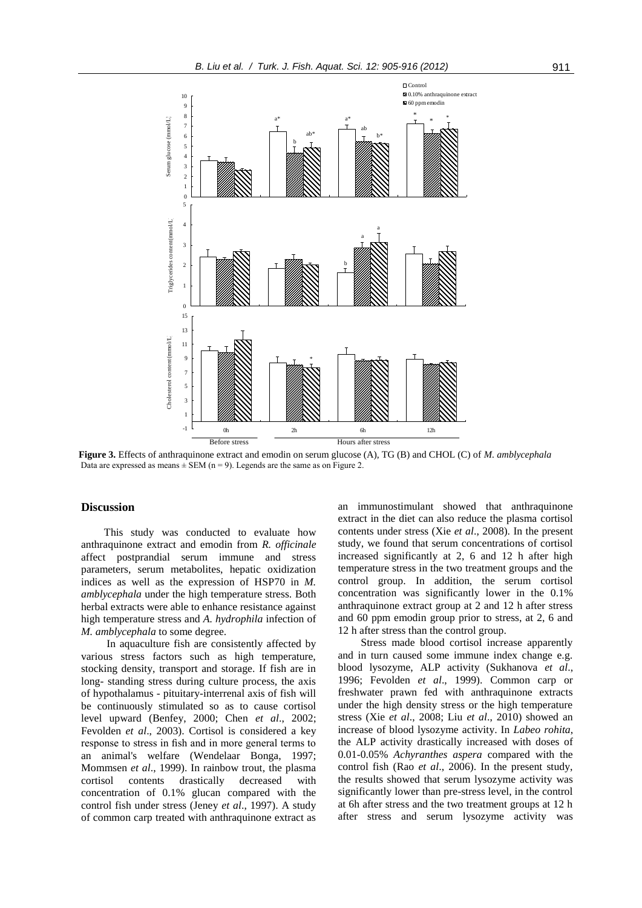

**Figure 3.** Effects of anthraquinone extract and emodin on serum glucose (A), TG (B) and CHOL (C) of *M. amblycephala* Data are expressed as means  $\pm$  SEM (n = 9). Legends are the same as on Figure 2.

### **Discussion**

This study was conducted to evaluate how anthraquinone extract and emodin from *R. officinale* affect postprandial serum immune and stress parameters, serum metabolites, hepatic oxidization indices as well as the expression of HSP70 in *M. amblycephala* under the high temperature stress. Both herbal extracts were able to enhance resistance against high temperature stress and *A. hydrophila* infection of *M. amblycephala* to some degree.

In aquaculture fish are consistently affected by various stress factors such as high temperature, stocking density, transport and storage. If fish are in long- standing stress during culture process, the axis of hypothalamus - pituitary-interrenal axis of fish will be continuously stimulated so as to cause cortisol level upward (Benfey, 2000; Chen *et al*., 2002; Fevolden *et al*., 2003). Cortisol is considered a key response to stress in fish and in more general terms to an animal's welfare (Wendelaar Bonga, 1997; Mommsen *et al*., 1999). In rainbow trout, the plasma cortisol contents drastically decreased with concentration of 0.1% glucan compared with the control fish under stress (Jeney *et al*., 1997). A study of common carp treated with anthraquinone extract as

an immunostimulant showed that anthraquinone extract in the diet can also reduce the plasma cortisol contents under stress (Xie *et al*., 2008). In the present study, we found that serum concentrations of cortisol increased significantly at 2, 6 and 12 h after high temperature stress in the two treatment groups and the control group. In addition, the serum cortisol concentration was significantly lower in the 0.1% anthraquinone extract group at 2 and 12 h after stress and 60 ppm emodin group prior to stress, at 2, 6 and 12 h after stress than the control group.

Stress made blood cortisol increase apparently and in turn caused some immune index change e.g. blood lysozyme, ALP activity (Sukhanova *et al*., 1996; Fevolden *et al*., 1999). Common carp or freshwater prawn fed with anthraquinone extracts under the high density stress or the high temperature stress (Xie *et al*., 2008; Liu *et al*., 2010) showed an increase of blood lysozyme activity. In *Labeo rohita*, the ALP activity drastically increased with doses of 0.01-0.05% *Achyranthes aspera* compared with the control fish (Rao *et al*., 2006). In the present study, the results showed that serum lysozyme activity was significantly lower than pre-stress level, in the control at 6h after stress and the two treatment groups at 12 h after stress and serum lysozyme activity was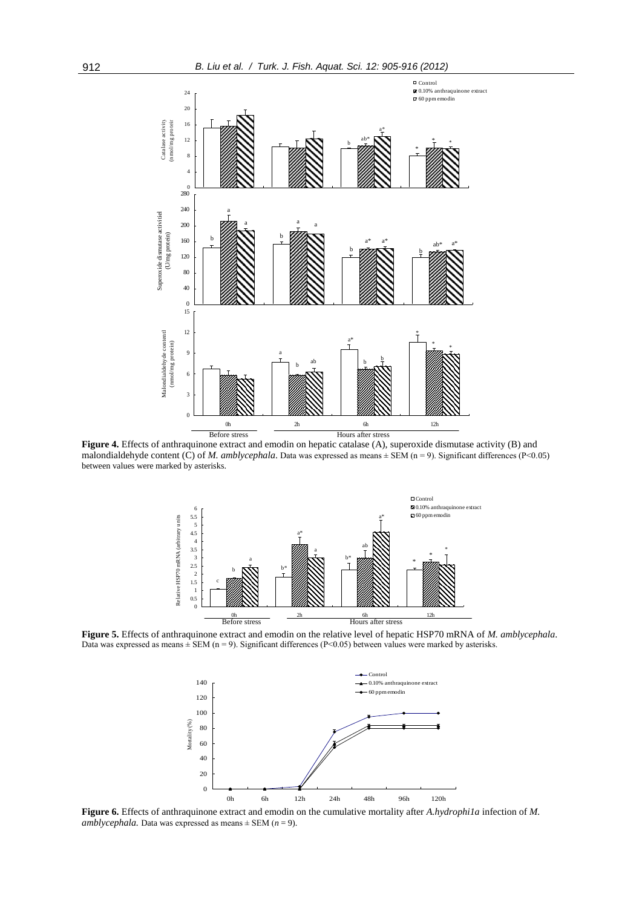

malondialdehyde content (C) of *M. amblycephala*. Data was expressed as means  $\pm$  SEM (n = 9). Significant differences (P<0.05) between values were marked by asterisks.



**Figure 5.** Effects of anthraquinone extract and emodin on the relative level of hepatic HSP70 mRNA of *M. amblycephala*. Data was expressed as means  $\pm$  SEM (n = 9). Significant differences (P<0.05) between values were marked by asterisks.



**Figure 6.** Effects of anthraquinone extract and emodin on the cumulative mortality after *A.hydrophi1a* infection of *M. amblycephala.* Data was expressed as means  $\pm$  SEM (*n* = 9).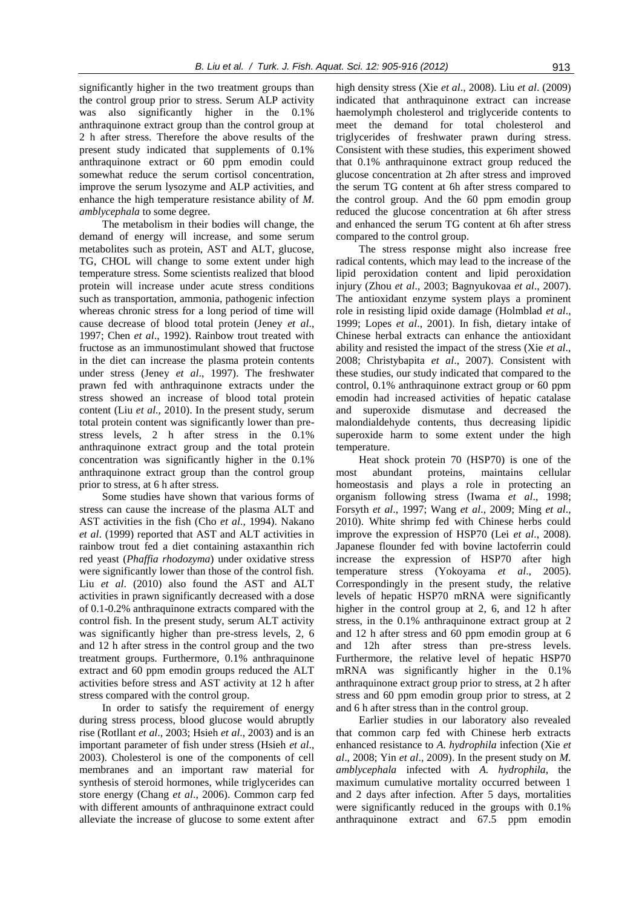significantly higher in the two treatment groups than the control group prior to stress. Serum ALP activity was also significantly higher in the 0.1% anthraquinone extract group than the control group at 2 h after stress. Therefore the above results of the present study indicated that supplements of 0.1% anthraquinone extract or 60 ppm emodin could somewhat reduce the serum cortisol concentration, improve the serum lysozyme and ALP activities, and enhance the high temperature resistance ability of *M. amblycephala* to some degree.

The metabolism in their bodies will change, the demand of energy will increase, and some serum metabolites such as protein, AST and ALT, glucose, TG, CHOL will change to some extent under high temperature stress. Some scientists realized that blood protein will increase under acute stress conditions such as transportation, ammonia, pathogenic infection whereas chronic stress for a long period of time will cause decrease of blood total protein (Jeney *et al*., 1997; Chen *et al*., 1992). Rainbow trout treated with fructose as an immunostimulant showed that fructose in the diet can increase the plasma protein contents under stress (Jeney *et al*., 1997). The freshwater prawn fed with anthraquinone extracts under the stress showed an increase of blood total protein content (Liu *et al*., 2010). In the present study, serum total protein content was significantly lower than prestress levels, 2 h after stress in the 0.1% anthraquinone extract group and the total protein concentration was significantly higher in the 0.1% anthraquinone extract group than the control group prior to stress, at 6 h after stress.

Some studies have shown that various forms of stress can cause the increase of the plasma ALT and AST activities in the fish (Cho *et al*., 1994). Nakano *et al*. (1999) reported that AST and ALT activities in rainbow trout fed a diet containing astaxanthin rich red yeast (*Phaffia rhodozyma*) under oxidative stress were significantly lower than those of the control fish. Liu *et al*. (2010) also found the AST and ALT activities in prawn significantly decreased with a dose of 0.1-0.2% anthraquinone extracts compared with the control fish. In the present study, serum ALT activity was significantly higher than pre-stress levels, 2, 6 and 12 h after stress in the control group and the two treatment groups. Furthermore, 0.1% anthraquinone extract and 60 ppm emodin groups reduced the ALT activities before stress and AST activity at 12 h after stress compared with the control group.

In order to satisfy the requirement of energy during stress process, blood glucose would abruptly rise (Rotllant *et al*., 2003; Hsieh *et al*., 2003) and is an important parameter of fish under stress (Hsieh *et al*., 2003). Cholesterol is one of the components of cell membranes and an important raw material for synthesis of steroid hormones, while triglycerides can store energy (Chang *et al*., 2006). Common carp fed with different amounts of anthraquinone extract could alleviate the increase of glucose to some extent after high density stress (Xie *et al*., 2008). Liu *et al*. (2009) indicated that anthraquinone extract can increase haemolymph cholesterol and triglyceride contents to meet the demand for total cholesterol and triglycerides of freshwater prawn during stress. Consistent with these studies, this experiment showed that 0.1% anthraquinone extract group reduced the glucose concentration at 2h after stress and improved the serum TG content at 6h after stress compared to the control group. And the 60 ppm emodin group reduced the glucose concentration at 6h after stress and enhanced the serum TG content at 6h after stress compared to the control group.

The stress response might also increase free radical contents, which may lead to the increase of the lipid peroxidation content and lipid peroxidation injury (Zhou *et al*., 2003; Bagnyukovaa *et al*., 2007). The antioxidant enzyme system plays a prominent role in resisting lipid oxide damage (Holmblad *et al*., 1999; Lopes *et al*., 2001). In fish, dietary intake of Chinese herbal extracts can enhance the antioxidant ability and resisted the impact of the stress (Xie *et al*., 2008; Christybapita *et al*., 2007). Consistent with these studies, our study indicated that compared to the control, 0.1% anthraquinone extract group or 60 ppm emodin had increased activities of hepatic catalase and superoxide dismutase and decreased the malondialdehyde contents, thus decreasing lipidic superoxide harm to some extent under the high temperature.

Heat shock protein 70 (HSP70) is one of the most abundant proteins, maintains cellular homeostasis and plays a role in protecting an organism following stress (Iwama *et al*., 1998; Forsyth *et al*., 1997; Wang *et al*., 2009; Ming *et al*., 2010). White shrimp fed with Chinese herbs could improve the expression of HSP70 (Lei *et al*., 2008). Japanese flounder fed with bovine lactoferrin could increase the expression of HSP70 after high temperature stress (Yokoyama *et al*., 2005). Correspondingly in the present study, the relative levels of hepatic HSP70 mRNA were significantly higher in the control group at 2, 6, and 12 h after stress, in the 0.1% anthraquinone extract group at 2 and 12 h after stress and 60 ppm emodin group at 6 and 12h after stress than pre-stress levels. Furthermore, the relative level of hepatic HSP70 mRNA was significantly higher in the 0.1% anthraquinone extract group prior to stress, at 2 h after stress and 60 ppm emodin group prior to stress, at 2 and 6 h after stress than in the control group.

Earlier studies in our laboratory also revealed that common carp fed with Chinese herb extracts enhanced resistance to *A. hydrophila* infection (Xie *et al*., 2008; Yin *et al*., 2009). In the present study on *M. amblycephala* infected with *A. hydrophila,* the maximum cumulative mortality occurred between 1 and 2 days after infection. After 5 days, mortalities were significantly reduced in the groups with 0.1% anthraquinone extract and 67.5 ppm emodin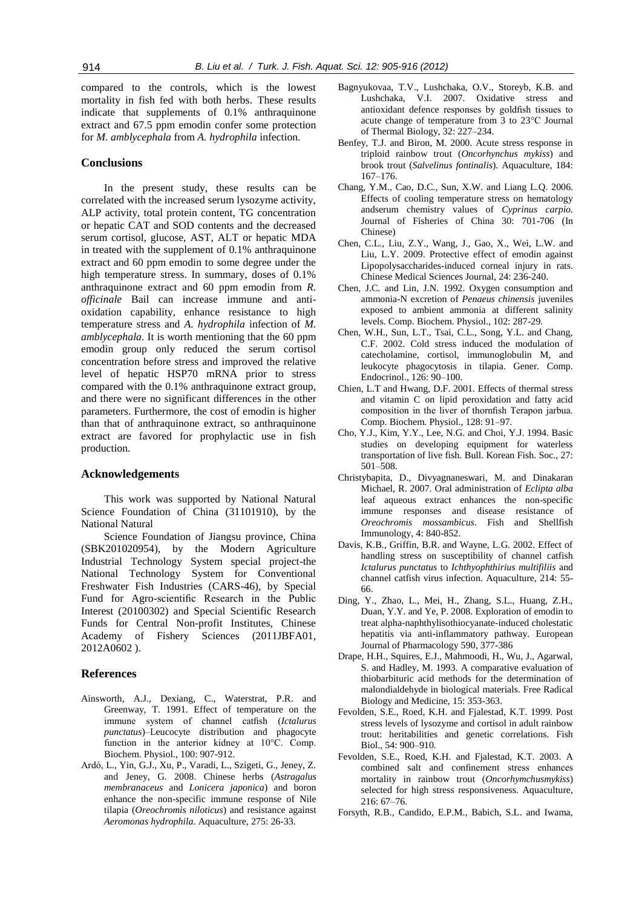compared to the controls, which is the lowest mortality in fish fed with both herbs. These results indicate that supplements of 0.1% anthraquinone extract and 67.5 ppm emodin confer some protection for *M. amblycephala* from *A. hydrophila* infection.

# **Conclusions**

In the present study, these results can be correlated with the increased serum lysozyme activity, ALP activity, total protein content, TG concentration or hepatic CAT and SOD contents and the decreased serum cortisol, glucose, AST, ALT or hepatic MDA in treated with the supplement of 0.1% anthraquinone extract and 60 ppm emodin to some degree under the high temperature stress. In summary, doses of 0.1% anthraquinone extract and 60 ppm emodin from *R. officinale* Bail can increase immune and antioxidation capability, enhance resistance to high temperature stress and *A. hydrophila* infection of *M. amblycephala*. It is worth mentioning that the 60 ppm emodin group only reduced the serum cortisol concentration before stress and improved the relative level of hepatic HSP70 mRNA prior to stress compared with the 0.1% anthraquinone extract group, and there were no significant differences in the other parameters. Furthermore, the cost of emodin is higher than that of anthraquinone extract, so anthraquinone extract are favored for prophylactic use in fish production.

### **Acknowledgements**

This work was supported by National Natural Science Foundation of China (31101910), by the National Natural

Science Foundation of Jiangsu province, China (SBK201020954), by the Modern Agriculture Industrial Technology System special project-the National Technology System for Conventional Freshwater Fish Industries (CARS-46), by Special Fund for Agro-scientific Research in the Public Interest (20100302) and Special Scientific Research Funds for Central Non-profit Institutes, Chinese Academy of Fishery Sciences (2011JBFA01, 2012A0602 ).

### **References**

- Ainsworth, A.J., Dexiang, C., Waterstrat, P.R. and Greenway, T. 1991. Effect of temperature on the immune system of channel catfish (*Ictalurus punctatus*)–Leucocyte distribution and phagocyte function in the anterior kidney at 10°C. Comp. Biochem. Physiol., 100: 907-912.
- Ardó, L., Yin, G.J., Xu, P., Varadi, L., Szigeti, G., Jeney, Z. and Jeney, G. 2008. Chinese herbs (*Astragalus membranaceus* and *Lonicera japonica*) and boron enhance the non-specific immune response of Nile tilapia (*Oreochromis niloticus*) and resistance against *Aeromonas hydrophila*. Aquaculture, 275: 26-33.
- Bagnyukovaa, T.V., Lushchaka, O.V., Storeyb, K.B. and Lushchaka, V.I. 2007. Oxidative stress and antioxidant defence responses by goldfish tissues to acute change of temperature from 3 to 23°C Journal of Thermal Biology, 32: 227–234.
- Benfey, T.J. and Biron, M. 2000. Acute stress response in triploid rainbow trout (*Oncorhynchus mykiss*) and brook trout (*Salvelinus fontinalis*). Aquaculture, 184: 167–176.
- Chang, Y.M., Cao, D.C., Sun, X.W. and Liang L.Q. 2006. Effects of cooling temperature stress on hematology andserum chemistry values of *Cyprinus carpio.*  Journal of Fisheries of China 30: 701-706 (In Chinese)
- Chen, C.L., Liu, Z.Y., Wang, J., Gao, X., Wei, L.W. and Liu, L.Y. 2009. Protective effect of emodin against Lipopolysaccharides-induced corneal injury in rats. Chinese Medical Sciences Journal, 24: 236-240.
- Chen, J.C. and Lin, J.N. 1992. Oxygen consumption and ammonia-N excretion of *Penaeus chinensis* juveniles exposed to ambient ammonia at different salinity levels. Comp. Biochem. Physiol., 102: 287-29.
- Chen, W.H., Sun, L.T., Tsai, C.L., Song, Y.L. and Chang, C.F. 2002. Cold stress induced the modulation of catecholamine, cortisol, immunoglobulin M, and leukocyte phagocytosis in tilapia. Gener. Comp. Endocrinol., 126: 90–100.
- Chien, L.T and Hwang, D.F. 2001. Effects of thermal stress and vitamin C on lipid peroxidation and fatty acid composition in the liver of thornfish Terapon jarbua. Comp. Biochem. Physiol., 128: 91–97.
- Cho, Y.J., Kim, Y.Y., Lee, N.G. and Choi, Y.J. 1994. Basic studies on developing equipment for waterless transportation of live fish. Bull. Korean Fish. Soc., 27: 501–508.
- Christybapita, D., Divyagnaneswari, M. and Dinakaran Michael, R. 2007. Oral administration of *Eclipta alba* leaf aqueous extract enhances the non-specific immune responses and disease resistance of *Oreochromis mossambicus*. Fish and Shellfish Immunology, 4: 840-852.
- Davis, K.B., Griffin, B.R. and Wayne, L.G. 2002. Effect of handling stress on susceptibility of channel catfish *Ictalurus punctatus* to *Ichthyophthirius multifiliis* and channel catfish virus infection. Aquaculture, 214: 55- 66.
- Ding, Y., Zhao, L., Mei, H., Zhang, S.L., Huang, Z.H., Duan, Y.Y. and Ye, P. 2008. Exploration of emodin to treat alpha-naphthylisothiocyanate-induced cholestatic hepatitis via anti-inflammatory pathway. European Journal of Pharmacology 590, 377-386
- Drape, H.H., Squires, E.J., Mahmoodi, H., Wu, J., Agarwal, S. and Hadley, M. 1993. A comparative evaluation of thiobarbituric acid methods for the determination of malondialdehyde in biological materials. Free Radical Biology and Medicine, 15: 353-363.
- Fevolden, S.E., Roed, K.H. and Fjalestad, K.T. 1999. Post stress levels of lysozyme and cortisol in adult rainbow trout: heritabilities and genetic correlations. Fish Biol., 54: 900–910.
- Fevolden, S.E., Roed, K.H. and Fjalestad, K.T. 2003. A combined salt and confinement stress enhances mortality in rainbow trout (*Oncorhymchusmykiss*) selected for high stress responsiveness. Aquaculture, 216: 67–76.
- Forsyth, R.B., Candido, E.P.M., Babich, S.L. and Iwama,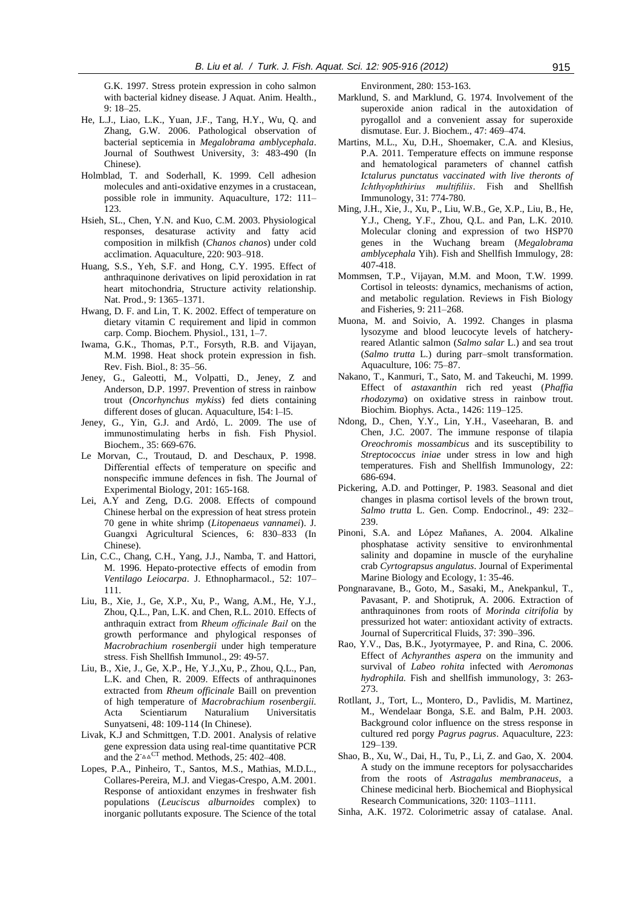G.K. 1997. Stress protein expression in coho salmon with bacterial kidney disease. J Aquat. Anim. Health., 9: 18–25.

- He, L.J., Liao, L.K., Yuan, J.F., Tang, H.Y., Wu, Q. and Zhang, G.W. 2006. Pathological observation of bacterial septicemia in *Megalobrama amblycephala*. Journal of Southwest University, 3: 483-490 (In Chinese).
- Holmblad, T. and Soderhall, K. 1999. Cell adhesion molecules and anti-oxidative enzymes in a crustacean, possible role in immunity. Aquaculture, 172: 111– 123.
- Hsieh, SL., Chen, Y.N. and Kuo, C.M. 2003. Physiological responses, desaturase activity and fatty acid composition in milkfish (*Chanos chanos*) under cold acclimation. Aquaculture, 220: 903–918.
- Huang, S.S., Yeh, S.F. and Hong, C.Y. 1995. Effect of anthraquinone derivatives on lipid peroxidation in rat heart mitochondria, Structure activity relationship. Nat. Prod., 9: 1365–1371.
- Hwang, D. F. and Lin, T. K. 2002. Effect of temperature on dietary vitamin C requirement and lipid in common carp. Comp. Biochem. Physiol., 131, 1–7.
- Iwama, G.K., Thomas, P.T., Forsyth, R.B. and Vijayan, M.M. 1998. Heat shock protein expression in fish. Rev. Fish. Biol., 8: 35–56.
- Jeney, G., Galeotti, M., Volpatti, D., Jeney, Z and Anderson, D.P. 1997. Prevention of stress in rainbow trout (*Oncorhynchus mykiss*) fed diets containing different doses of glucan. Aquaculture, l54: l–l5.
- Jeney, G., Yin, G.J. and Ardó, L. 2009. The use of immunostimulating herbs in fish. Fish Physiol. Biochem., 35: 669-676.
- Le Morvan, C., Troutaud, D. and Deschaux, P. 1998. Differential effects of temperature on specific and nonspecific immune defences in fish. The Journal of Experimental Biology, 201: 165-168.
- Lei, A.Y and Zeng, D.G. 2008. Effects of compound Chinese herbal on the expression of heat stress protein 70 gene in white shrimp (*Litopenaeus vannamei*). J. Guangxi Agricultural Sciences, 6: 830–833 (In Chinese).
- Lin, C.C., Chang, C.H., Yang, J.J., Namba, T. and Hattori, M. 1996. Hepato-protective effects of emodin from *Ventilago Leiocarpa*. J. Ethnopharmacol., 52: 107– 111.
- Liu, B., Xie, J., Ge, X.P., Xu, P., Wang, A.M., He, Y.J., Zhou, Q.L., Pan, L.K. and Chen, R.L. 2010. Effects of anthraquin extract from *Rheum officinale Bail* on the growth performance and phylogical responses of *Macrobrachium rosenbergii* under high temperature stress. Fish Shellfish Immunol., 29: 49-57.
- Liu, B., Xie, J., Ge, X.P., He, Y.J.,Xu, P., Zhou, Q.L., Pan, L.K. and Chen, R. 2009. Effects of anthraquinones extracted from *Rheum officinale* Baill on prevention of high temperature of *Macrobrachium rosenbergii.*  Acta Scientiarum Naturalium Universitatis Sunyatseni, 48: 109-114 (In Chinese).
- Livak, K.J and Schmittgen, T.D. 2001. Analysis of relative gene expression data using real-time quantitative PCR and the  $2^{\text{A}}\text{A}^{\text{CT}}$  method. Methods, 25: 402–408.
- Lopes, P.A., Pinheiro, T., Santos, M.S., Mathias, M.D.L., Collares-Pereira, M.J. and Viegas-Crespo, A.M. 2001. Response of antioxidant enzymes in freshwater fish populations (*Leuciscus alburnoides* complex) to inorganic pollutants exposure. The Science of the total

Environment, 280: 153-163.

- Marklund, S. and Marklund, G. 1974. Involvement of the superoxide anion radical in the autoxidation of pyrogallol and a convenient assay for superoxide dismutase. Eur. J. Biochem., 47: 469–474.
- Martins, M.L., Xu, D.H., Shoemaker, C.A. and Klesius, P.A. 2011. Temperature effects on immune response and hematological parameters of channel catfish *Ictalurus punctatus vaccinated with live theronts of Ichthyophthirius multifiliis*. Fish and Shellfish Immunology, 31: 774-780.
- Ming, J.H., Xie, J., Xu, P., Liu, W.B., Ge, X.P., Liu, B., He, Y.J., Cheng, Y.F., Zhou, Q.L. and Pan, L.K. 2010. Molecular cloning and expression of two HSP70 genes in the Wuchang bream (*Megalobrama amblycephala* Yih). Fish and Shellfish Immulogy, 28: 407-418.
- Mommsen, T.P., Vijayan, M.M. and Moon, T.W. 1999. Cortisol in teleosts: dynamics, mechanisms of action, and metabolic regulation. Reviews in Fish Biology and Fisheries, 9: 211–268.
- Muona, M. and Soivio, A. 1992. Changes in plasma lysozyme and blood leucocyte levels of hatcheryreared Atlantic salmon (*Salmo salar* L.) and sea trout (*Salmo trutta* L.) during parr–smolt transformation. Aquaculture, 106: 75–87.
- Nakano, T., Kanmuri, T., Sato, M. and Takeuchi, M. 1999. Effect of *astaxanthin* rich red yeast (*Phaffia rhodozyma*) on oxidative stress in rainbow trout. Biochim. Biophys. Acta., 1426: 119–125.
- Ndong, D., Chen, Y.Y., Lin, Y.H., Vaseeharan, B. and Chen, J.C. 2007. The immune response of tilapia *Oreochromis mossambicus* and its susceptibility to *Streptococcus iniae* under stress in low and high temperatures. Fish and Shellfish Immunology, 22: 686-694.
- Pickering, A.D. and Pottinger, P. 1983. Seasonal and diet changes in plasma cortisol levels of the brown trout, *Salmo trutta* L. Gen. Comp. Endocrinol., 49: 232– 239.
- Pinoni, S.A. and López Mañanes, A. 2004. Alkaline phosphatase activity sensitive to environhmental salinity and dopamine in muscle of the euryhaline crab *Cyrtograpsus angulatus*. Journal of Experimental Marine Biology and Ecology, 1: 35-46.
- Pongnaravane, B., Goto, M., Sasaki, M., Anekpankul, T., Pavasant, P. and Shotipruk, A. 2006. Extraction of anthraquinones from roots of *Morinda citrifolia* by pressurized hot water: antioxidant activity of extracts. Journal of Supercritical Fluids, 37: 390–396.
- Rao, Y.V., Das, B.K., Jyotyrmayee, P. and Rina, C. 2006. Effect of *Achyranthes aspera* on the immunity and survival of *Labeo rohita* infected with *Aeromonas hydrophila.* Fish and shellfish immunology, 3: 263- 273.
- Rotllant, J., Tort, L., Montero, D., Pavlidis, M. Martinez, M., Wendelaar Bonga, S.E. and Balm, P.H. 2003. Background color influence on the stress response in cultured red porgy *Pagrus pagrus*. Aquaculture, 223: 129–139.
- Shao, B., Xu, W., Dai, H., Tu, P., Li, Z. and Gao, X. 2004. A study on the immune receptors for polysaccharides from the roots of *Astragalus membranaceus*, a Chinese medicinal herb. Biochemical and Biophysical Research Communications, 320: 1103–1111.
- Sinha, A.K. 1972. Colorimetric assay of catalase. Anal.